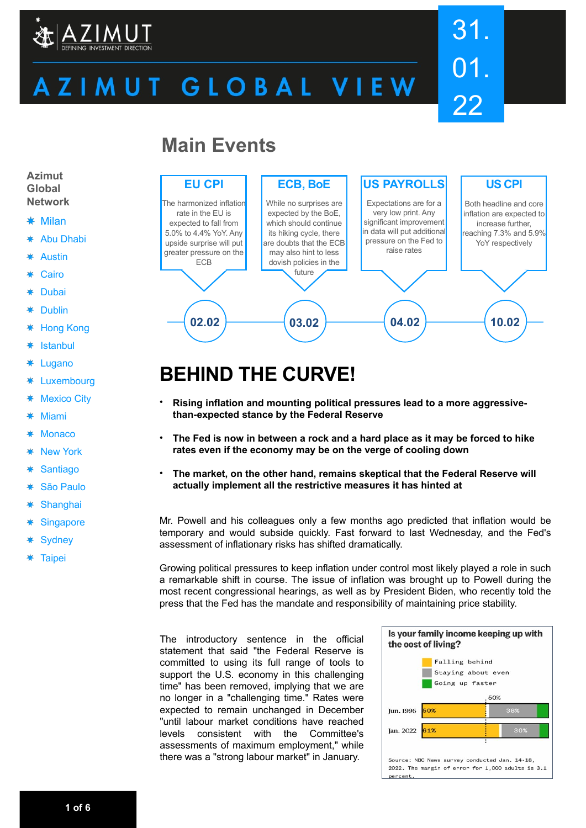

# ZIMUT GLOBAL VIEW

# 31. 01. 22

### **Main Events**



## **BEHIND THE CURVE!**

- **Rising inflation and mounting political pressures lead to a more aggressivethan-expected stance by the Federal Reserve**
- **The Fed is now in between a rock and a hard place as it may be forced to hike rates even if the economy may be on the verge of cooling down**
- **The market, on the other hand, remains skeptical that the Federal Reserve will actually implement all the restrictive measures it has hinted at**

Mr. Powell and his colleagues only a few months ago predicted that inflation would be temporary and would subside quickly. Fast forward to last Wednesday, and the Fed's assessment of inflationary risks has shifted dramatically.

Growing political pressures to keep inflation under control most likely played a role in such a remarkable shift in course. The issue of inflation was brought up to Powell during the most recent congressional hearings, as well as by President Biden, who recently told the press that the Fed has the mandate and responsibility of maintaining price stability.

The introductory sentence in the official statement that said "the Federal Reserve is committed to using its full range of tools to support the U.S. economy in this challenging time" has been removed, implying that we are no longer in a "challenging time." Rates were expected to remain unchanged in December "until labour market conditions have reached levels consistent with the Committee's assessments of maximum employment," while there was a "strong labour market" in January.



**Azimut Global Network**

- Milan
- Abu Dhabi ∗
- Austin
- Cairo
- Dubai ∗
- 蓮 Dublin
- Hong Kong 粬
- ₩ Istanbul
- 粬 Lugano
- Luxembourg ∗
- ₩ Mexico City
- ₩ Miami
- **Monaco**
- New York
- **Santiago** 粬
- São Paulo
- ₩ **Shanghai**
- **Singapore**
- **Sydney**
- **Taipei**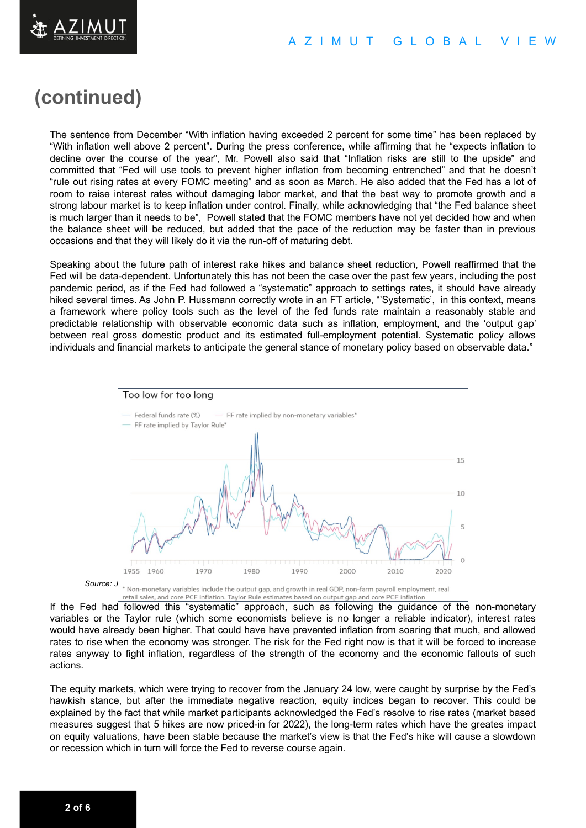### **(continued)**

The sentence from December "With inflation having exceeded 2 percent for some time" has been replaced by "With inflation well above 2 percent". During the press conference, while affirming that he "expects inflation to decline over the course of the year", Mr. Powell also said that "Inflation risks are still to the upside" and committed that "Fed will use tools to prevent higher inflation from becoming entrenched" and that he doesn't "rule out rising rates at every FOMC meeting" and as soon as March. He also added that the Fed has a lot of room to raise interest rates without damaging labor market, and that the best way to promote growth and a strong labour market is to keep inflation under control. Finally, while acknowledging that "the Fed balance sheet is much larger than it needs to be", Powell stated that the FOMC members have not yet decided how and when the balance sheet will be reduced, but added that the pace of the reduction may be faster than in previous occasions and that they will likely do it via the run-off of maturing debt.

Speaking about the future path of interest rake hikes and balance sheet reduction, Powell reaffirmed that the Fed will be data-dependent. Unfortunately this has not been the case over the past few years, including the post pandemic period, as if the Fed had followed a "systematic" approach to settings rates, it should have already hiked several times. As John P. Hussmann correctly wrote in an FT article, "'Systematic', in this context, means a framework where policy tools such as the level of the fed funds rate maintain a reasonably stable and predictable relationship with observable economic data such as inflation, employment, and the 'output gap' between real gross domestic product and its estimated full-employment potential. Systematic policy allows individuals and financial markets to anticipate the general stance of monetary policy based on observable data."



If the Fed had followed this "systematic" approach, such as following the guidance of the non-monetary variables or the Taylor rule (which some economists believe is no longer a reliable indicator), interest rates would have already been higher. That could have have prevented inflation from soaring that much, and allowed rates to rise when the economy was stronger. The risk for the Fed right now is that it will be forced to increase rates anyway to fight inflation, regardless of the strength of the economy and the economic fallouts of such actions.

The equity markets, which were trying to recover from the January 24 low, were caught by surprise by the Fed's hawkish stance, but after the immediate negative reaction, equity indices began to recover. This could be explained by the fact that while market participants acknowledged the Fed's resolve to rise rates (market based measures suggest that 5 hikes are now priced-in for 2022), the long-term rates which have the greates impact on equity valuations, have been stable because the market's view is that the Fed's hike will cause a slowdown or recession which in turn will force the Fed to reverse course again.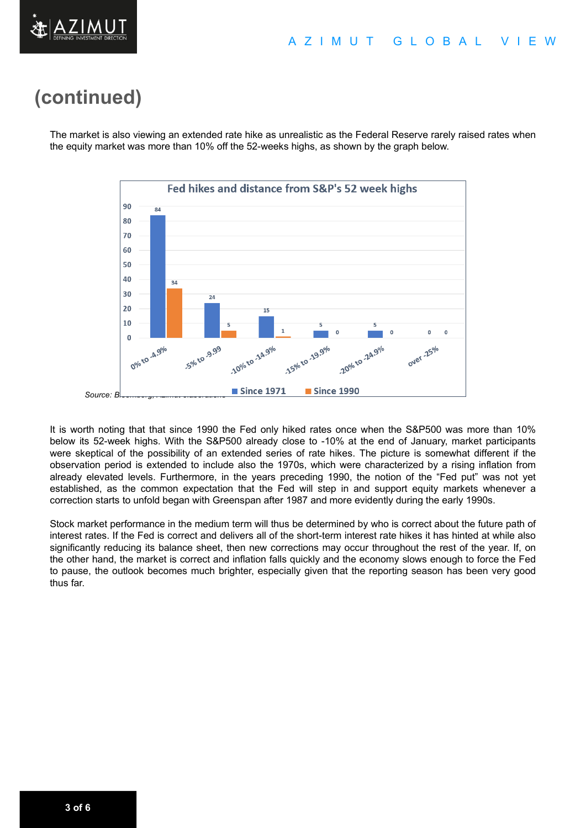

### **(continued)**

The market is also viewing an extended rate hike as unrealistic as the Federal Reserve rarely raised rates when the equity market was more than 10% off the 52-weeks highs, as shown by the graph below.



It is worth noting that that since 1990 the Fed only hiked rates once when the S&P500 was more than 10% below its 52-week highs. With the S&P500 already close to -10% at the end of January, market participants were skeptical of the possibility of an extended series of rate hikes. The picture is somewhat different if the observation period is extended to include also the 1970s, which were characterized by a rising inflation from already elevated levels. Furthermore, in the years preceding 1990, the notion of the "Fed put" was not yet established, as the common expectation that the Fed will step in and support equity markets whenever a correction starts to unfold began with Greenspan after 1987 and more evidently during the early 1990s.

Stock market performance in the medium term will thus be determined by who is correct about the future path of interest rates. If the Fed is correct and delivers all of the short-term interest rate hikes it has hinted at while also significantly reducing its balance sheet, then new corrections may occur throughout the rest of the year. If, on the other hand, the market is correct and inflation falls quickly and the economy slows enough to force the Fed to pause, the outlook becomes much brighter, especially given that the reporting season has been very good thus far.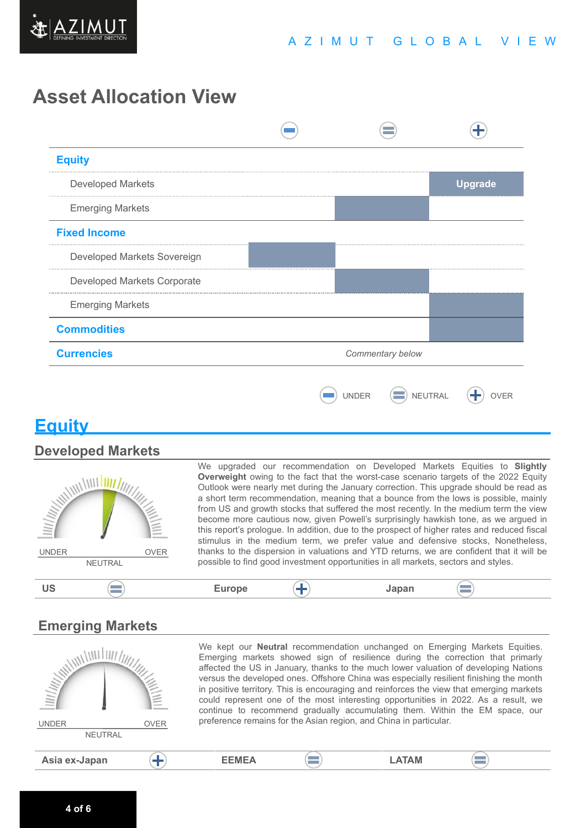

### **Asset Allocation View**



### **Equity**

#### **Developed Markets**



We upgraded our recommendation on Developed Markets Equities to **Slightly Overweight** owing to the fact that the worst-case scenario targets of the 2022 Equity Outlook were nearly met during the January correction. This upgrade should be read as a short term recommendation, meaning that a bounce from the lows is possible, mainly from US and growth stocks that suffered the most recently. In the medium term the view become more cautious now, given Powell's surprisingly hawkish tone, as we argued in this report's prologue. In addition, due to the prospect of higher rates and reduced fiscal stimulus in the medium term, we prefer value and defensive stocks, Nonetheless, thanks to the dispersion in valuations and YTD returns, we are confident that it will be possible to find good investment opportunities in all markets, sectors and styles.

#### $\equiv$ **US Europe Japan**

### **Emerging Markets**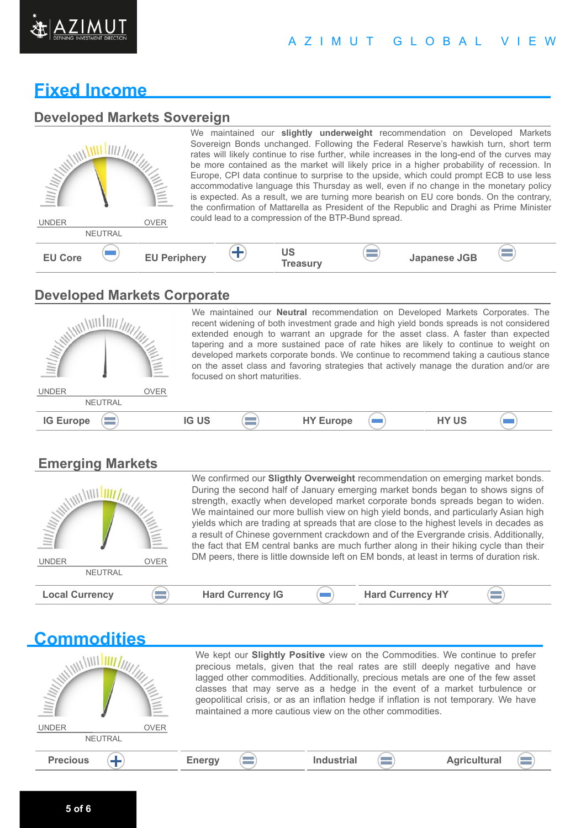

#### A Z I M U T G L O B A L V I E W

### **Fixed Income**

#### **Developed Markets Sovereign**

| <b>IIII/III////</b><br><b>UNDER</b> | <b>NEUTRAL</b> | $\equiv$<br><b>OVER</b> |  |                       | could lead to a compression of the BTP-Bund spread. | We maintained our slightly underweight recommendation on Developed Markets<br>Sovereign Bonds unchanged. Following the Federal Reserve's hawkish turn, short term<br>rates will likely continue to rise further, while increases in the long-end of the curves may<br>be more contained as the market will likely price in a higher probability of recession. In<br>Europe, CPI data continue to surprise to the upside, which could prompt ECB to use less<br>accommodative language this Thursday as well, even if no change in the monetary policy<br>is expected. As a result, we are turning more bearish on EU core bonds. On the contrary,<br>the confirmation of Mattarella as President of the Republic and Draghi as Prime Minister |  |
|-------------------------------------|----------------|-------------------------|--|-----------------------|-----------------------------------------------------|-----------------------------------------------------------------------------------------------------------------------------------------------------------------------------------------------------------------------------------------------------------------------------------------------------------------------------------------------------------------------------------------------------------------------------------------------------------------------------------------------------------------------------------------------------------------------------------------------------------------------------------------------------------------------------------------------------------------------------------------------|--|
| <b>EU Core</b>                      |                | <b>EU Periphery</b>     |  | US<br><b>Treasury</b> | <b>Contract</b>                                     | <b>Japanese JGB</b>                                                                                                                                                                                                                                                                                                                                                                                                                                                                                                                                                                                                                                                                                                                           |  |

#### **Developed Markets Corporate**



We maintained our **Neutral** recommendation on Developed Markets Corporates. The recent widening of both investment grade and high yield bonds spreads is not considered extended enough to warrant an upgrade for the asset class. A faster than expected tapering and a more sustained pace of rate hikes are likely to continue to weight on developed markets corporate bonds. We continue to recommend taking a cautious stance on the asset class and favoring strategies that actively manage the duration and/or are focused on short maturities.

 $\sqrt{2}$ 

**Emerging Markets**

| <b>WILLIAM</b><br><b>OVER</b><br><b>UNDER</b><br><b>NEUTRAL</b> |                         | We confirmed our Sligthly Overweight recommendation on emerging market bonds.<br>During the second half of January emerging market bonds began to shows signs of<br>strength, exactly when developed market corporate bonds spreads began to widen.<br>We maintained our more bullish view on high yield bonds, and particularly Asian high<br>yields which are trading at spreads that are close to the highest levels in decades as<br>a result of Chinese government crackdown and of the Evergrande crisis. Additionally,<br>the fact that EM central banks are much further along in their hiking cycle than their<br>DM peers, there is little downside left on EM bonds, at least in terms of duration risk. |
|-----------------------------------------------------------------|-------------------------|---------------------------------------------------------------------------------------------------------------------------------------------------------------------------------------------------------------------------------------------------------------------------------------------------------------------------------------------------------------------------------------------------------------------------------------------------------------------------------------------------------------------------------------------------------------------------------------------------------------------------------------------------------------------------------------------------------------------|
| <b>Local Currency</b><br><b>Contract</b>                        | <b>Hard Currency IG</b> | <b>Hard Currency HY</b>                                                                                                                                                                                                                                                                                                                                                                                                                                                                                                                                                                                                                                                                                             |

#### **Commodities** We kept our **Slightly Positive** view on the Commodities. We continue to prefer WILLIAM LINE precious metals, given that the real rates are still deeply negative and have lagged other commodities. Additionally, precious metals are one of the few asset classes that may serve as a hedge in the event of a market turbulence or geopolitical crisis, or as an inflation hedge if inflation is not temporary. We have maintained a more cautious view on the other commodities. UNDER OVER **NEUTRAL Precious**  $\left(\frac{1}{2}\right)$  **Energy**  $\left(\frac{1}{2}\right)$  **Industrial**  $\left(\frac{1}{2}\right)$  **Agricultural**  $\left( \equiv \right)$